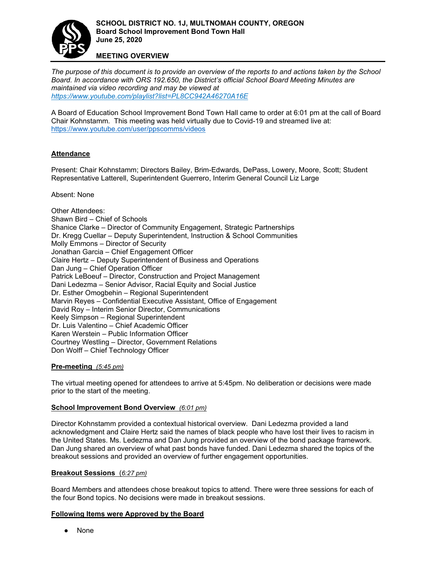

#### **MEETING OVERVIEW**

*The purpose of this document is to provide an overview of the reports to and actions taken by the School Board. In accordance with ORS 192.650, the District['s official School Board Meeting Minutes are](https://www.youtube.com/playlist?list=PL8CC942A46270A16E)  maintained via video recording and may be viewed at <https://www.youtube.com/playlist?list=PL8CC942A46270A16E>*

A Board of Education School Improvement Bond Town Hall came to order at 6:01 pm at the call of Board Chair Kohnstamm. This meeting was held virtually due to Covid-19 and streamed live at: <https://www.youtube.com/user/ppscomms/videos>

## **Attendance**

Present: Chair Kohnstamm; Directors Bailey, Brim-Edwards, DePass, Lowery, Moore, Scott; Student Representative Latterell, Superintendent Guerrero, Interim General Council Liz Large

Absent: None

Other Attendees: Shawn Bird – Chief of Schools Shanice Clarke – Director of Community Engagement, Strategic Partnerships Dr. Kregg Cuellar – Deputy Superintendent, Instruction & School Communities Molly Emmons – Director of Security Jonathan Garcia – Chief Engagement Officer Claire Hertz – Deputy Superintendent of Business and Operations Dan Jung – Chief Operation Officer Patrick LeBoeuf – Director, Construction and Project Management Dani Ledezma – Senior Advisor, Racial Equity and Social Justice Dr. Esther Omogbehin – Regional Superintendent Marvin Reyes – Confidential Executive Assistant, Office of Engagement David Roy – Interim Senior Director, Communications Keely Simpson – Regional Superintendent Dr. Luis Valentino – Chief Academic Officer Karen Werstein – Public Information Officer Courtney Westling – Director, Government Relations Don Wolff – Chief Technology Officer

## **Pre-meeting** *(5:45 pm)*

The virtual meeting opened for attendees to arrive at 5:45pm. No deliberation or decisions were made prior to the start of the meeting.

#### **School Improvement Bond Overview** *(6:01 pm)*

Director Kohnstamm provided a contextual historical overview. Dani Ledezma provided a land acknowledgment and Claire Hertz said the names of black people who have lost their lives to racism in the United States. Ms. Ledezma and Dan Jung provided an overview of the bond package framework. Dan Jung shared an overview of what past bonds have funded. Dani Ledezma shared the topics of the breakout sessions and provided an overview of further engagement opportunities.

#### **Breakout Sessions** (*6:27 pm)*

Board Members and attendees chose breakout topics to attend. There were three sessions for each of the four Bond topics. No decisions were made in breakout sessions.

#### **Following Items were Approved by the Board**

● None